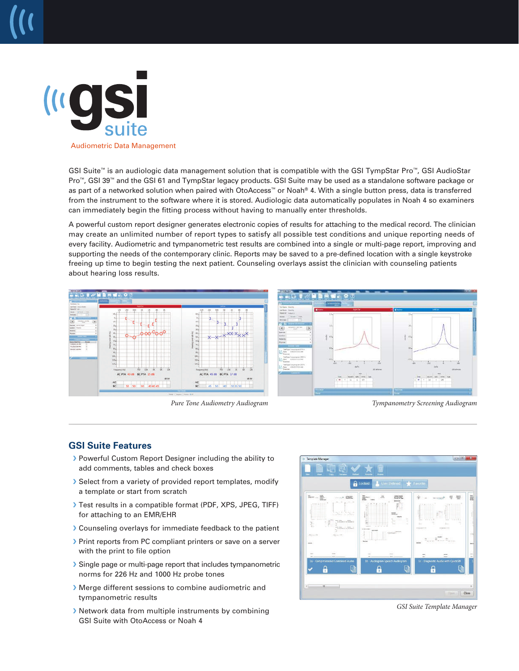

GSI Suite™ is an audiologic data management solution that is compatible with the GSI TympStar Pro™, GSI AudioStar Pro™, GSI 39™ and the GSI 61 and TympStar legacy products. GSI Suite may be used as a standalone software package or as part of a networked solution when paired with OtoAccess™ or Noah® 4. With a single button press, data is transferred from the instrument to the software where it is stored. Audiologic data automatically populates in Noah 4 so examiners can immediately begin the fitting process without having to manually enter thresholds.

A powerful custom report designer generates electronic copies of results for attaching to the medical record. The clinician may create an unlimited number of report types to satisfy all possible test conditions and unique reporting needs of every facility. Audiometric and tympanometric test results are combined into a single or multi-page report, improving and supporting the needs of the contemporary clinic. Reports may be saved to a pre-defined location with a single keystroke freeing up time to begin testing the next patient. Counseling overlays assist the clinician with counseling patients about hearing loss results.



*Pure Tone Audiometry Audiogram Tympanometry Screening Audiogram* 

## **GSI Suite Features**

- � Powerful Custom Report Designer including the ability to add comments, tables and check boxes
- � Select from a variety of provided report templates, modify a template or start from scratch
- � Test results in a compatible format (PDF, XPS, JPEG, TIFF) for attaching to an EMR/EHR
- � Counseling overlays for immediate feedback to the patient
- � Print reports from PC compliant printers or save on a server with the print to file option
- � Single page or multi-page report that includes tympanometric norms for 226 Hz and 1000 Hz probe tones
- � Merge different sessions to combine audiometric and tympanometric results
- � Network data from multiple instruments by combining GSI Suite with OtoAccess or Noah 4



*GSI Suite Template Manager*